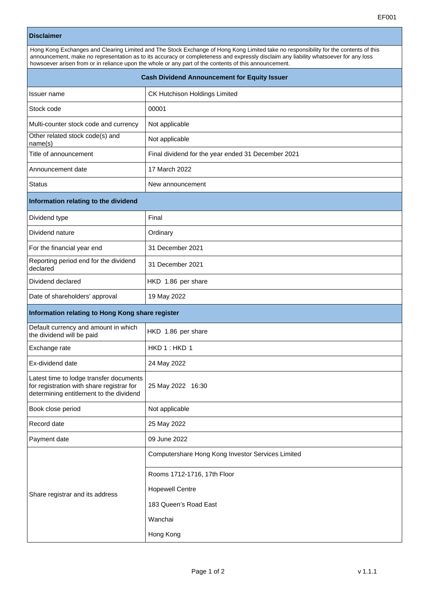| <b>Disclaimer</b>                                                                                                                                                                                                                                                                                                                                                                     |                                                    |
|---------------------------------------------------------------------------------------------------------------------------------------------------------------------------------------------------------------------------------------------------------------------------------------------------------------------------------------------------------------------------------------|----------------------------------------------------|
| Hong Kong Exchanges and Clearing Limited and The Stock Exchange of Hong Kong Limited take no responsibility for the contents of this<br>announcement, make no representation as to its accuracy or completeness and expressly disclaim any liability whatsoever for any loss<br>howsoever arisen from or in reliance upon the whole or any part of the contents of this announcement. |                                                    |
| <b>Cash Dividend Announcement for Equity Issuer</b>                                                                                                                                                                                                                                                                                                                                   |                                                    |
| Issuer name                                                                                                                                                                                                                                                                                                                                                                           | CK Hutchison Holdings Limited                      |
| Stock code                                                                                                                                                                                                                                                                                                                                                                            | 00001                                              |
| Multi-counter stock code and currency                                                                                                                                                                                                                                                                                                                                                 | Not applicable                                     |
| Other related stock code(s) and<br>name(s)                                                                                                                                                                                                                                                                                                                                            | Not applicable                                     |
| Title of announcement                                                                                                                                                                                                                                                                                                                                                                 | Final dividend for the year ended 31 December 2021 |
| Announcement date                                                                                                                                                                                                                                                                                                                                                                     | 17 March 2022                                      |
| Status                                                                                                                                                                                                                                                                                                                                                                                | New announcement                                   |
| Information relating to the dividend                                                                                                                                                                                                                                                                                                                                                  |                                                    |
| Dividend type                                                                                                                                                                                                                                                                                                                                                                         | Final                                              |
| Dividend nature                                                                                                                                                                                                                                                                                                                                                                       | Ordinary                                           |
| For the financial year end                                                                                                                                                                                                                                                                                                                                                            | 31 December 2021                                   |
| Reporting period end for the dividend<br>declared                                                                                                                                                                                                                                                                                                                                     | 31 December 2021                                   |
| Dividend declared                                                                                                                                                                                                                                                                                                                                                                     | HKD 1.86 per share                                 |
| Date of shareholders' approval                                                                                                                                                                                                                                                                                                                                                        | 19 May 2022                                        |
| Information relating to Hong Kong share register                                                                                                                                                                                                                                                                                                                                      |                                                    |
| Default currency and amount in which<br>the dividend will be paid                                                                                                                                                                                                                                                                                                                     | HKD 1.86 per share                                 |
| Exchange rate                                                                                                                                                                                                                                                                                                                                                                         | HKD 1: HKD 1                                       |
| Ex-dividend date                                                                                                                                                                                                                                                                                                                                                                      | 24 May 2022                                        |
| Latest time to lodge transfer documents<br>for registration with share registrar for<br>determining entitlement to the dividend                                                                                                                                                                                                                                                       | 25 May 2022 16:30                                  |
| Book close period                                                                                                                                                                                                                                                                                                                                                                     | Not applicable                                     |
| Record date                                                                                                                                                                                                                                                                                                                                                                           | 25 May 2022                                        |
| Payment date                                                                                                                                                                                                                                                                                                                                                                          | 09 June 2022                                       |
|                                                                                                                                                                                                                                                                                                                                                                                       | Computershare Hong Kong Investor Services Limited  |
| Share registrar and its address                                                                                                                                                                                                                                                                                                                                                       | Rooms 1712-1716, 17th Floor                        |
|                                                                                                                                                                                                                                                                                                                                                                                       | <b>Hopewell Centre</b>                             |
|                                                                                                                                                                                                                                                                                                                                                                                       | 183 Queen's Road East                              |

Wanchai